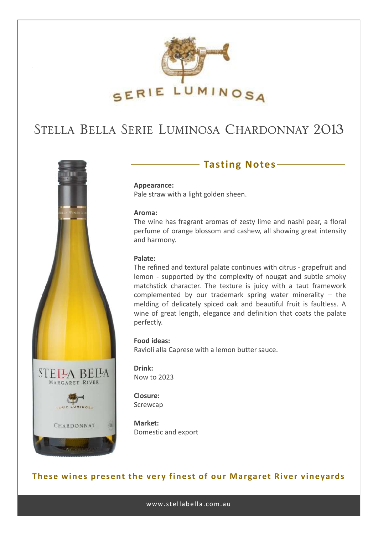

# STELLA BELLA SERIE LUMINOSA CHARDONNAY 2013



## **Tasting Notes**

**Appearance:** Pale straw with a light golden sheen.

#### **Aroma:**

The wine has fragrant aromas of zesty lime and nashi pear, a floral perfume of orange blossom and cashew, all showing great intensity and harmony.

#### **Palate:**

The refined and textural palate continues with citrus - grapefruit and lemon - supported by the complexity of nougat and subtle smoky matchstick character. The texture is juicy with a taut framework complemented by our trademark spring water minerality – the melding of delicately spiced oak and beautiful fruit is faultless. A wine of great length, elegance and definition that coats the palate perfectly.

### **Food ideas:**

Ravioli alla Caprese with a lemon butter sauce.

**Drink:** Now to 2023

**Closure:** Screwcap

**Market:** Domestic and export

### **These wines present the very finest of our Margaret River vineyards**

www.stellabella.com.au